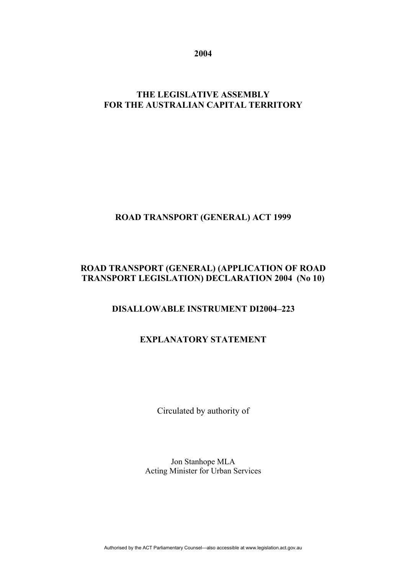**2004** 

## **THE LEGISLATIVE ASSEMBLY FOR THE AUSTRALIAN CAPITAL TERRITORY**

## **ROAD TRANSPORT (GENERAL) ACT 1999**

## **ROAD TRANSPORT (GENERAL) (APPLICATION OF ROAD TRANSPORT LEGISLATION) DECLARATION 2004 (No 10)**

## **DISALLOWABLE INSTRUMENT DI2004–223**

# **EXPLANATORY STATEMENT**

Circulated by authority of

Jon Stanhope MLA Acting Minister for Urban Services